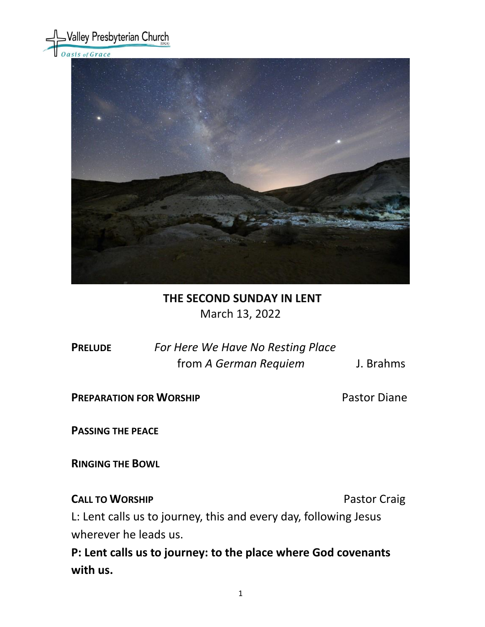

## **THE SECOND SUNDAY IN LENT** March 13, 2022

**PRELUDE** *For Here We Have No Resting Place*  from *A German Requiem* J. Brahms

**PREPARATION FOR WORSHIP** Pastor Diane

**PASSING THE PEACE**

**RINGING THE BOWL** 

**CALL TO WORSHIP CALL TO WORSHIP** 

L: Lent calls us to journey, this and every day, following Jesus wherever he leads us.

**P: Lent calls us to journey: to the place where God covenants with us.**

1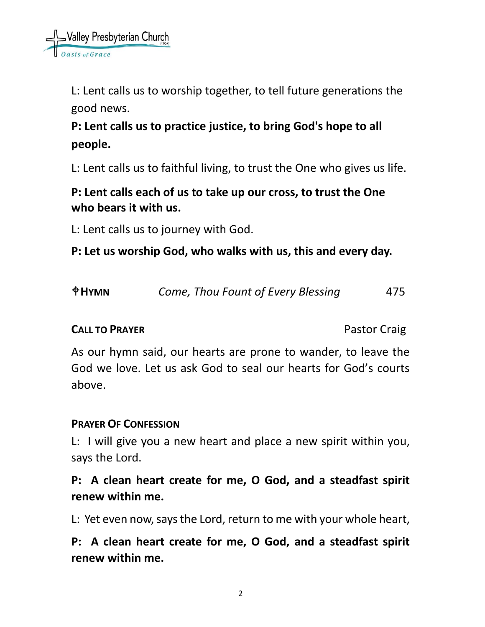L: Lent calls us to worship together, to tell future generations the good news.

# **P: Lent calls us to practice justice, to bring God's hope to all people.**

L: Lent calls us to faithful living, to trust the One who gives us life.

# **P: Lent calls each of us to take up our cross, to trust the One who bears it with us.**

L: Lent calls us to journey with God.

**P: Let us worship God, who walks with us, this and every day.**

| $\triangle$ HYMN | Come, Thou Fount of Every Blessing | 475 |
|------------------|------------------------------------|-----|
|------------------|------------------------------------|-----|

## **CALL TO PRAYER CALL TO PRAYER Pastor Craig**

As our hymn said, our hearts are prone to wander, to leave the God we love. Let us ask God to seal our hearts for God's courts above.

## **PRAYER OF CONFESSION**

L: I will give you a new heart and place a new spirit within you, says the Lord.

# **P: A clean heart create for me, O God, and a steadfast spirit renew within me.**

L: Yet even now, says the Lord, return to me with your whole heart,

**P: A clean heart create for me, O God, and a steadfast spirit renew within me.**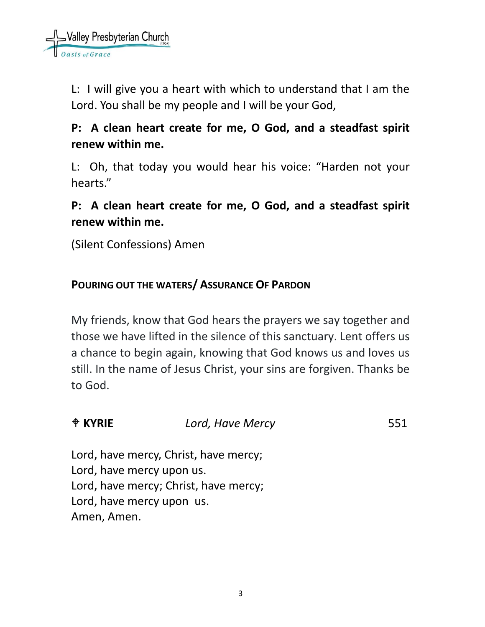L: I will give you a heart with which to understand that I am the Lord. You shall be my people and I will be your God,

# **P: A clean heart create for me, O God, and a steadfast spirit renew within me.**

L: Oh, that today you would hear his voice: "Harden not your hearts."

# **P: A clean heart create for me, O God, and a steadfast spirit renew within me.**

(Silent Confessions) Amen

# **POURING OUT THE WATERS/ ASSURANCE OF PARDON**

My friends, know that God hears the prayers we say together and those we have lifted in the silence of this sanctuary. Lent offers us a chance to begin again, knowing that God knows us and loves us still. In the name of Jesus Christ, your sins are forgiven. Thanks be to God.

| <b>♦ KYRIE</b> | Lord, Have Mercy | 551 |
|----------------|------------------|-----|
|                |                  |     |

Lord, have mercy, Christ, have mercy; Lord, have mercy upon us. Lord, have mercy; Christ, have mercy; Lord, have mercy upon us. Amen, Amen.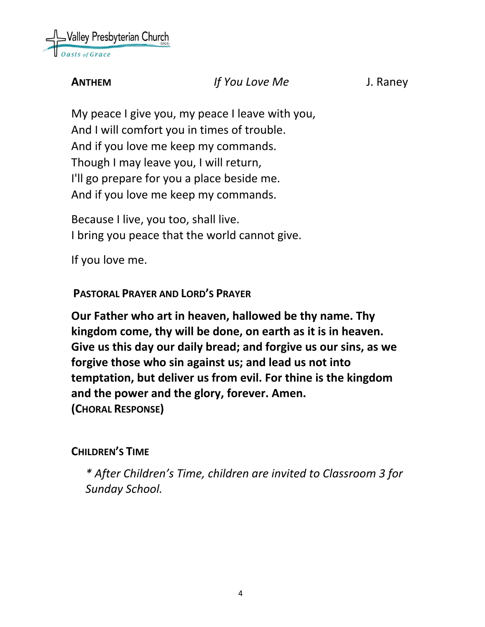

## **ANTHEM** *If You Love Me* J. Raney

My peace I give you, my peace I leave with you, And I will comfort you in times of trouble. And if you love me keep my commands. Though I may leave you, I will return, I'll go prepare for you a place beside me. And if you love me keep my commands.

Because I live, you too, shall live. I bring you peace that the world cannot give.

If you love me.

**PASTORAL PRAYER AND LORD'S PRAYER**

**Our Father who art in heaven, hallowed be thy name. Thy kingdom come, thy will be done, on earth as it is in heaven. Give us this day our daily bread; and forgive us our sins, as we forgive those who sin against us; and lead us not into temptation, but deliver us from evil. For thine is the kingdom and the power and the glory, forever. Amen. (CHORAL RESPONSE)**

## **CHILDREN'S TIME**

*\* After Children's Time, children are invited to Classroom 3 for Sunday School.*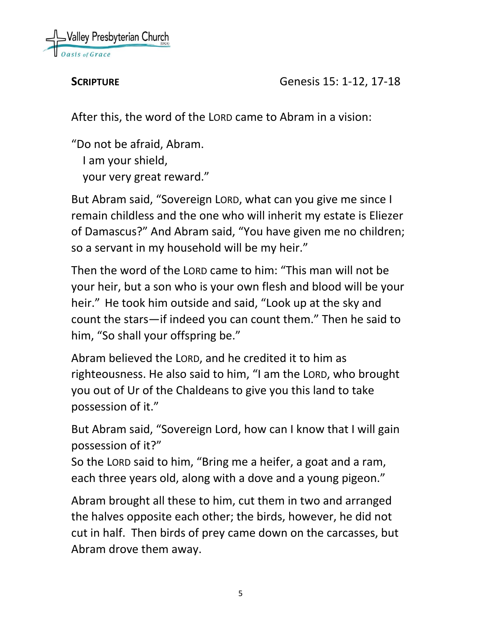

**SCRIPTURE Genesis 15: 1-12, 17-18** 

After this, the word of the LORD came to Abram in a vision:

"Do not be afraid, Abram. I am your shield, your very great reward."

But Abram said, "Sovereign LORD, what can you give me since I remain childless and the one who will inherit my estate is Eliezer of Damascus?" And Abram said, "You have given me no children; so a servant in my household will be my heir."

Then the word of the LORD came to him: "This man will not be your heir, but a son who is your own flesh and blood will be your heir." He took him outside and said, "Look up at the sky and count the stars—if indeed you can count them." Then he said to him, "So shall your offspring be."

Abram believed the LORD, and he credited it to him as righteousness. He also said to him, "I am the LORD, who brought you out of Ur of the Chaldeans to give you this land to take possession of it."

But Abram said, "Sovereign Lord, how can I know that I will gain possession of it?"

So the LORD said to him, "Bring me a heifer, a goat and a ram, each three years old, along with a dove and a young pigeon."

Abram brought all these to him, cut them in two and arranged the halves opposite each other; the birds, however, he did not cut in half. Then birds of prey came down on the carcasses, but Abram drove them away.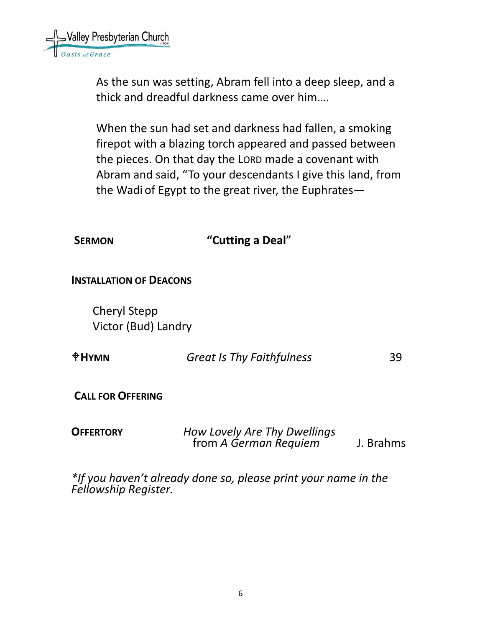

As the sun was setting, Abram fell into a deep sleep, and a thick and dreadful darkness came over him….

When the sun had set and darkness had fallen, a smoking firepot with a blazing torch appeared and passed between the pieces. On that day the LORD made a covenant with Abram and said, "To your descendants I give this land, from the Wadi of Egypt to the great river, the Euphrates—

| <b>SERMON</b>                              | "Cutting a Deal" |
|--------------------------------------------|------------------|
| <b>INSTALLATION OF DEACONS</b>             |                  |
| <b>Cheryl Stepp</b><br>Victor (Bud) Landry |                  |

| $\triangle$ HYMN | <b>Great Is Thy Faithfulness</b> | 39 |
|------------------|----------------------------------|----|
|------------------|----------------------------------|----|

**CALL FOR OFFERING**

| <b>OFFERTORY</b> | How Lovely Are Thy Dwellings |           |
|------------------|------------------------------|-----------|
|                  | from A German Requiem        | J. Brahms |

*\*If you haven't already done so, please print your name in the Fellowship Register.*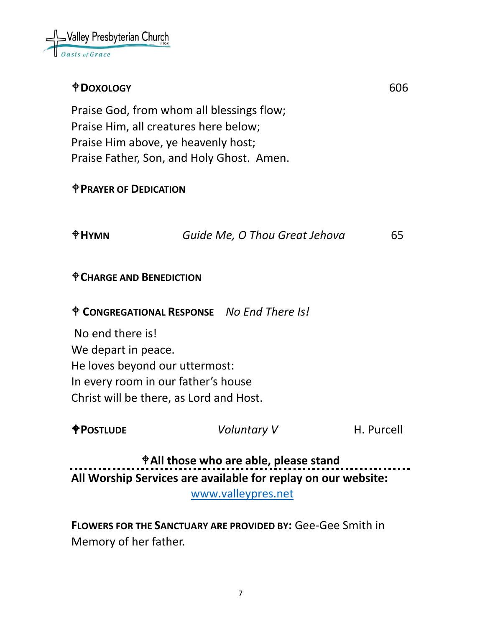

## **DOXOLOGY** 606

Praise God, from whom all blessings flow; Praise Him, all creatures here below; Praise Him above, ye heavenly host; Praise Father, Son, and Holy Ghost. Amen.

#### **PRAYER OF DEDICATION**

**HYMN** *Guide Me, O Thou Great Jehova* 65

#### **CHARGE AND BENEDICTION**

**CONGREGATIONAL RESPONSE** *No End There Is!*

No end there is! We depart in peace. He loves beyond our uttermost: In every room in our father's house Christ will be there, as Lord and Host.

**POSTLUDE** *Voluntary V* H. Purcell

**All those who are able, please stand All Worship Services are available for replay on our website:** 

[www.valleypres.net](http://www.valleypres.net/)

**FLOWERS FOR THE SANCTUARY ARE PROVIDED BY:** Gee-Gee Smith in Memory of her father.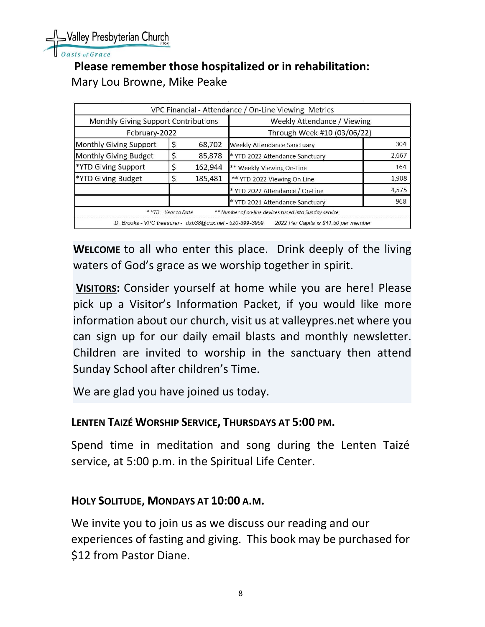Nalley Presbyterian Church

sis of Grace

## **Please remember those hospitalized or in rehabilitation:** Mary Lou Browne, Mike Peake

|                                                          |                      |         | VPC Financial - Attendance / On-Line Viewing Metrics   |       |
|----------------------------------------------------------|----------------------|---------|--------------------------------------------------------|-------|
| Monthly Giving Support Contributions                     |                      |         | Weekly Attendance / Viewing                            |       |
| February-2022                                            |                      |         | Through Week #10 (03/06/22)                            |       |
| Monthly Giving Support                                   |                      | 68,702  | Weekly Attendance Sanctuary                            | 304   |
| Monthly Giving Budget                                    |                      | 85,878  | * YTD 2022 Attendance Sanctuary                        | 2,667 |
| *YTD Giving Support                                      |                      | 162,944 | ** Weekly Viewing On-Line                              | 164   |
| *YTD Giving Budget                                       |                      | 185,481 | ** YTD 2022 Viewing On-Line                            | 1,908 |
|                                                          |                      |         | * YTD 2022 Attendance / On-Line                        | 4,575 |
|                                                          |                      |         | * YTD 2021 Attendance Sanctuary                        | 968   |
|                                                          | * YTD = Year to Date |         | ** Number of on-line devices tuned into Sunday service |       |
| D. Brooks - VPC treasurer - dxb38@cox.net - 520-399-3959 |                      |         | 2022 Per Capita is \$41.50 per member                  |       |

**WELCOME** to all who enter this place. Drink deeply of the living waters of God's grace as we worship together in spirit.

**VISITORS:** Consider yourself at home while you are here! Please pick up a Visitor's Information Packet, if you would like more information about our church, visit us at valleypres.net where you can sign up for our daily email blasts and monthly newsletter. Children are invited to worship in the sanctuary then attend Sunday School after children's Time.

We are glad you have joined us today.

### **LENTEN TAIZÉ WORSHIP SERVICE, THURSDAYS AT 5:00 PM.**

Spend time in meditation and song during the Lenten Taizé service, at 5:00 p.m. in the Spiritual Life Center.

#### **HOLY SOLITUDE, MONDAYS AT 10:00 A.M.**

We invite you to join us as we discuss our reading and our experiences of fasting and giving. This book may be purchased for \$12 from Pastor Diane.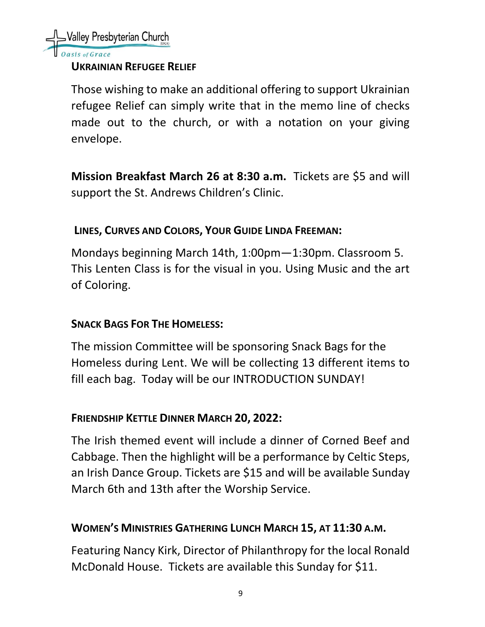

#### **UKRAINIAN REFUGEE RELIEF**

Those wishing to make an additional offering to support Ukrainian refugee Relief can simply write that in the memo line of checks made out to the church, or with a notation on your giving envelope.

**Mission Breakfast March 26 at 8:30 a.m.** Tickets are \$5 and will support the St. Andrews Children's Clinic.

## **LINES, CURVES AND COLORS, YOUR GUIDE LINDA FREEMAN:**

Mondays beginning March 14th, 1:00pm—1:30pm. Classroom 5. This Lenten Class is for the visual in you. Using Music and the art of Coloring.

### **SNACK BAGS FOR THE HOMELESS:**

The mission Committee will be sponsoring Snack Bags for the Homeless during Lent. We will be collecting 13 different items to fill each bag. Today will be our INTRODUCTION SUNDAY!

### **FRIENDSHIP KETTLE DINNER MARCH 20, 2022:**

The Irish themed event will include a dinner of Corned Beef and Cabbage. Then the highlight will be a performance by Celtic Steps, an Irish Dance Group. Tickets are \$15 and will be available Sunday March 6th and 13th after the Worship Service.

## **WOMEN'S MINISTRIES GATHERING LUNCH MARCH 15, AT 11:30 A.M.**

Featuring Nancy Kirk, Director of Philanthropy for the local Ronald McDonald House. Tickets are available this Sunday for \$11.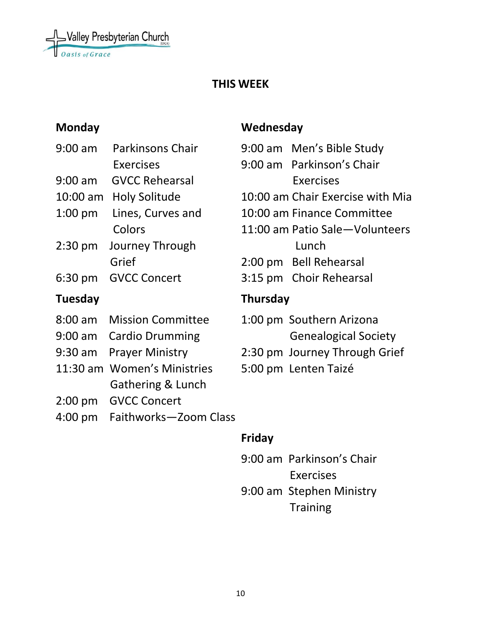

## **THIS WEEK**

| $9:00$ am          | <b>Parkinsons Chair</b>      | $9:00$ am       |
|--------------------|------------------------------|-----------------|
|                    | <b>Exercises</b>             | $9:00$ am       |
| $9:00$ am          | <b>GVCC Rehearsal</b>        |                 |
| $10:00 \text{ am}$ | <b>Holy Solitude</b>         | $10:00$ am      |
| $1:00$ pm          | Lines, Curves and            | 10:00 am        |
|                    | Colors                       | 11:00 am        |
| $2:30$ pm          | Journey Through              |                 |
|                    | Grief                        | 2:00 pm         |
| 6:30 pm            | <b>GVCC Concert</b>          | $3:15$ pm       |
|                    |                              |                 |
| Tuesday            |                              | <b>Thursday</b> |
| $8:00$ am          | <b>Mission Committee</b>     | $1:00$ pm       |
| $9:00$ am          | <b>Cardio Drumming</b>       |                 |
| $9:30$ am          | <b>Prayer Ministry</b>       | 2:30 pm         |
| 11:30 am           | <b>Women's Ministries</b>    | 5:00 pm         |
|                    | <b>Gathering &amp; Lunch</b> |                 |
| $2:00$ pm          | <b>GVCC Concert</b>          |                 |
| $4:00$ pm          | Faithworks-Zoom Class        |                 |

## **Monday Wednesday**

|                 | 9:00 am Men's Bible Study        |  |
|-----------------|----------------------------------|--|
|                 | 9:00 am Parkinson's Chair        |  |
|                 | <b>Exercises</b>                 |  |
|                 | 10:00 am Chair Exercise with Mia |  |
|                 | 10:00 am Finance Committee       |  |
|                 | 11:00 am Patio Sale-Volunteers   |  |
|                 | Lunch                            |  |
|                 | 2:00 pm Bell Rehearsal           |  |
|                 | 3:15 pm Choir Rehearsal          |  |
| <b>Thursday</b> |                                  |  |
|                 | 1:00 pm. Southern Arizona        |  |

- 1:00 pm Southern Arizona Genealogical Society
- 2:30 pm Journey Through Grief
- 5:00 pm Lenten Taizé

## **Friday**

9:00 am Parkinson's Chair Exercises 9:00 am Stephen Ministry **Training**